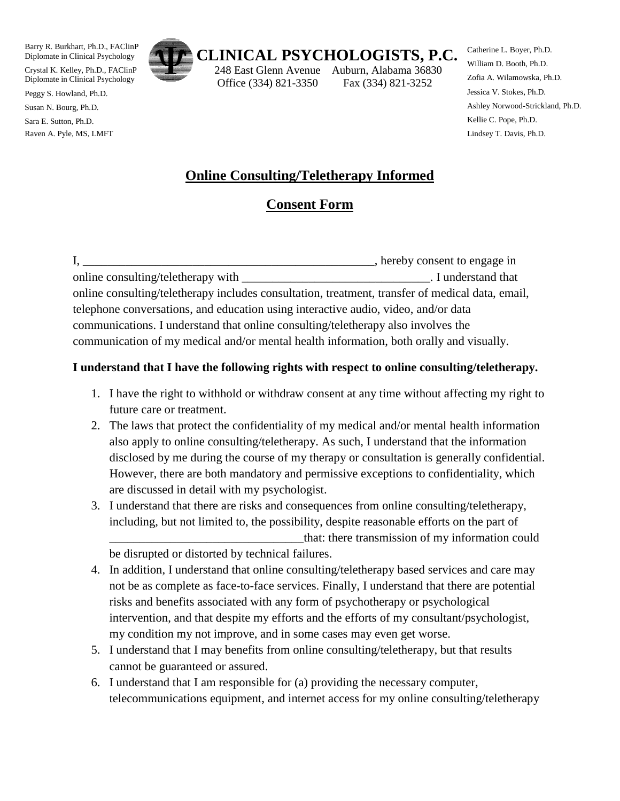Barry R. Burkhart, Ph.D., FAClinP Diplomate in Clinical Psychology

Crystal K. Kelley, Ph.D., FAClinP Diplomate in Clinical Psychology

Peggy S. Howland, Ph.D.

Susan N. Bourg, Ph.D.

Sara E. Sutton, Ph.D. Raven A. Pyle, MS, LMFT



 248 East Glenn Avenue Auburn, Alabama 36830 Office (334) 821-3350 Fax (334) 821-3252

Catherine L. Boyer, Ph.D. William D. Booth, Ph.D. Zofia A. Wilamowska, Ph.D. Jessica V. Stokes, Ph.D. Ashley Norwood-Strickland, Ph.D. Kellie C. Pope, Ph.D. Lindsey T. Davis, Ph.D.

## **Online Consulting/Teletherapy Informed**

## **Consent Form**

|                                                                                                  | hereby consent to engage in |
|--------------------------------------------------------------------------------------------------|-----------------------------|
| online consulting/teletherapy with                                                               | . I understand that         |
| online consulting/teletherapy includes consultation, treatment, transfer of medical data, email, |                             |
| telephone conversations, and education using interactive audio, video, and/or data               |                             |
| communications. I understand that online consulting/teletherapy also involves the                |                             |
| communication of my medical and/or mental health information, both orally and visually.          |                             |

## **I understand that I have the following rights with respect to online consulting/teletherapy.**

- 1. I have the right to withhold or withdraw consent at any time without affecting my right to future care or treatment.
- 2. The laws that protect the confidentiality of my medical and/or mental health information also apply to online consulting/teletherapy. As such, I understand that the information disclosed by me during the course of my therapy or consultation is generally confidential. However, there are both mandatory and permissive exceptions to confidentiality, which are discussed in detail with my psychologist.
- 3. I understand that there are risks and consequences from online consulting/teletherapy, including, but not limited to, the possibility, despite reasonable efforts on the part of that: there transmission of my information could be disrupted or distorted by technical failures.
- 4. In addition, I understand that online consulting/teletherapy based services and care may not be as complete as face-to-face services. Finally, I understand that there are potential risks and benefits associated with any form of psychotherapy or psychological intervention, and that despite my efforts and the efforts of my consultant/psychologist, my condition my not improve, and in some cases may even get worse.
- 5. I understand that I may benefits from online consulting/teletherapy, but that results cannot be guaranteed or assured.
- 6. I understand that I am responsible for (a) providing the necessary computer, telecommunications equipment, and internet access for my online consulting/teletherapy